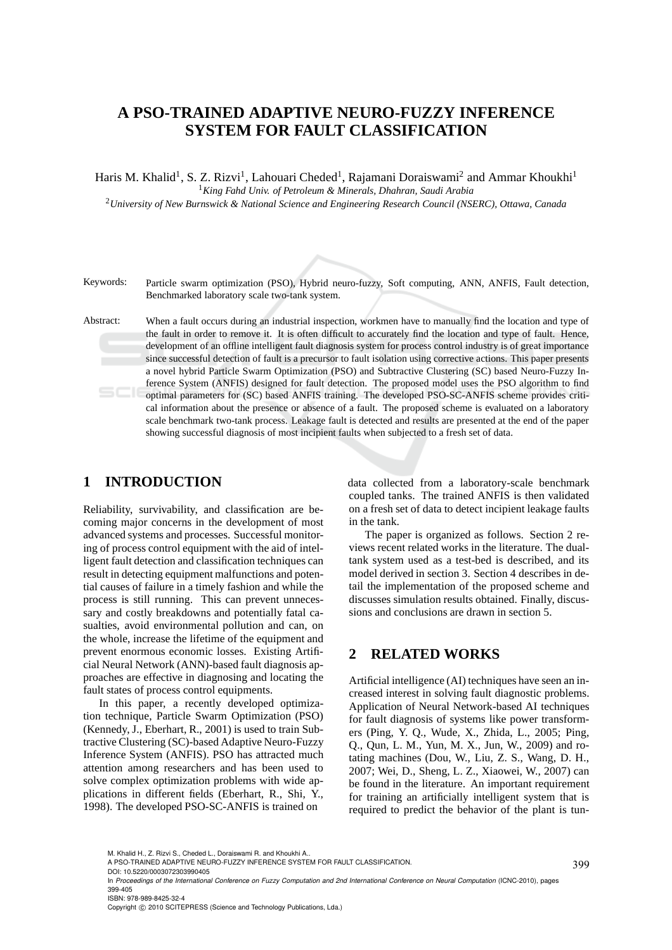# **A PSO-TRAINED ADAPTIVE NEURO-FUZZY INFERENCE SYSTEM FOR FAULT CLASSIFICATION**

Haris M. Khalid<sup>1</sup>, S. Z. Rizvi<sup>1</sup>, Lahouari Cheded<sup>1</sup>, Rajamani Doraiswami<sup>2</sup> and Ammar Khoukhi<sup>1</sup>

<sup>1</sup>*King Fahd Univ. of Petroleum & Minerals, Dhahran, Saudi Arabia*

<sup>2</sup>*University of New Burnswick & National Science and Engineering Research Council (NSERC), Ottawa, Canada*

Keywords: Particle swarm optimization (PSO), Hybrid neuro-fuzzy, Soft computing, ANN, ANFIS, Fault detection, Benchmarked laboratory scale two-tank system.

Abstract: When a fault occurs during an industrial inspection, workmen have to manually find the location and type of the fault in order to remove it. It is often difficult to accurately find the location and type of fault. Hence, development of an offline intelligent fault diagnosis system for process control industry is of great importance since successful detection of fault is a precursor to fault isolation using corrective actions. This paper presents a novel hybrid Particle Swarm Optimization (PSO) and Subtractive Clustering (SC) based Neuro-Fuzzy Inference System (ANFIS) designed for fault detection. The proposed model uses the PSO algorithm to find optimal parameters for (SC) based ANFIS training. The developed PSO-SC-ANFIS scheme provides critical information about the presence or absence of a fault. The proposed scheme is evaluated on a laboratory scale benchmark two-tank process. Leakage fault is detected and results are presented at the end of the paper showing successful diagnosis of most incipient faults when subjected to a fresh set of data.

### **1 INTRODUCTION**

Reliability, survivability, and classification are becoming major concerns in the development of most advanced systems and processes. Successful monitoring of process control equipment with the aid of intelligent fault detection and classification techniques can result in detecting equipment malfunctions and potential causes of failure in a timely fashion and while the process is still running. This can prevent unnecessary and costly breakdowns and potentially fatal casualties, avoid environmental pollution and can, on the whole, increase the lifetime of the equipment and prevent enormous economic losses. Existing Artificial Neural Network (ANN)-based fault diagnosis approaches are effective in diagnosing and locating the fault states of process control equipments.

In this paper, a recently developed optimization technique, Particle Swarm Optimization (PSO) (Kennedy, J., Eberhart, R., 2001) is used to train Subtractive Clustering (SC)-based Adaptive Neuro-Fuzzy Inference System (ANFIS). PSO has attracted much attention among researchers and has been used to solve complex optimization problems with wide applications in different fields (Eberhart, R., Shi, Y., 1998). The developed PSO-SC-ANFIS is trained on

data collected from a laboratory-scale benchmark coupled tanks. The trained ANFIS is then validated on a fresh set of data to detect incipient leakage faults in the tank.

The paper is organized as follows. Section 2 reviews recent related works in the literature. The dualtank system used as a test-bed is described, and its model derived in section 3. Section 4 describes in detail the implementation of the proposed scheme and discusses simulation results obtained. Finally, discussions and conclusions are drawn in section 5.

## **2 RELATED WORKS**

Artificial intelligence (AI) techniques have seen an increased interest in solving fault diagnostic problems. Application of Neural Network-based AI techniques for fault diagnosis of systems like power transformers (Ping, Y. Q., Wude, X., Zhida, L., 2005; Ping, Q., Qun, L. M., Yun, M. X., Jun, W., 2009) and rotating machines (Dou, W., Liu, Z. S., Wang, D. H., 2007; Wei, D., Sheng, L. Z., Xiaowei, W., 2007) can be found in the literature. An important requirement for training an artificially intelligent system that is required to predict the behavior of the plant is tun-

M. Khalid H., Z. Rizvi S., Cheded L., Doraiswami R. and Khoukhi A..

A PSO-TRAINED ADAPTIVE NEURO-FUZZY INFERENCE SYSTEM FOR FAULT CLASSIFICATION.

DOI: 10.5220/0003072303990405

In *Proceedings of the International Conference on Fuzzy Computation and 2nd International Conference on Neural Computation* (ICNC-2010), pages 399-405 ISBN: 978-989-8425-32-4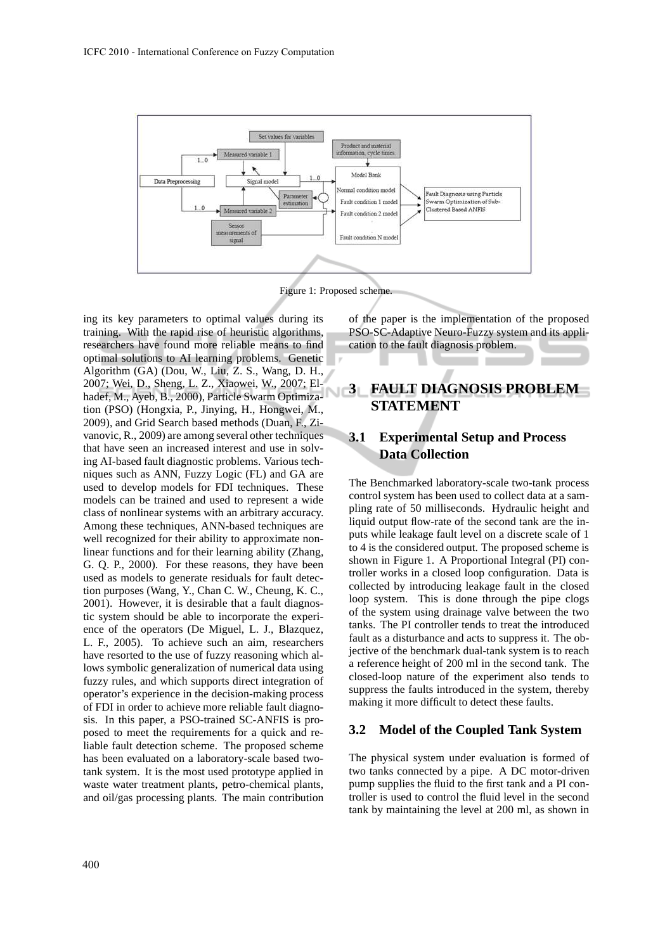

Figure 1: Proposed scheme.

ing its key parameters to optimal values during its training. With the rapid rise of heuristic algorithms, researchers have found more reliable means to find optimal solutions to AI learning problems. Genetic Algorithm (GA) (Dou, W., Liu, Z. S., Wang, D. H., 2007; Wei, D., Sheng, L. Z., Xiaowei, W., 2007; Elhadef, M., Ayeb, B., 2000), Particle Swarm Optimization (PSO) (Hongxia, P., Jinying, H., Hongwei, M., 2009), and Grid Search based methods (Duan, F., Zivanovic, R., 2009) are among several other techniques that have seen an increased interest and use in solving AI-based fault diagnostic problems. Various techniques such as ANN, Fuzzy Logic (FL) and GA are used to develop models for FDI techniques. These models can be trained and used to represent a wide class of nonlinear systems with an arbitrary accuracy. Among these techniques, ANN-based techniques are well recognized for their ability to approximate nonlinear functions and for their learning ability (Zhang, G. Q. P., 2000). For these reasons, they have been used as models to generate residuals for fault detection purposes (Wang, Y., Chan C. W., Cheung, K. C., 2001). However, it is desirable that a fault diagnostic system should be able to incorporate the experience of the operators (De Miguel, L. J., Blazquez, L. F., 2005). To achieve such an aim, researchers have resorted to the use of fuzzy reasoning which allows symbolic generalization of numerical data using fuzzy rules, and which supports direct integration of operator's experience in the decision-making process of FDI in order to achieve more reliable fault diagnosis. In this paper, a PSO-trained SC-ANFIS is proposed to meet the requirements for a quick and reliable fault detection scheme. The proposed scheme has been evaluated on a laboratory-scale based twotank system. It is the most used prototype applied in waste water treatment plants, petro-chemical plants, and oil/gas processing plants. The main contribution

of the paper is the implementation of the proposed PSO-SC-Adaptive Neuro-Fuzzy system and its application to the fault diagnosis problem.

## **3 FAULT DIAGNOSIS PROBLEM STATEMENT**

### **3.1 Experimental Setup and Process Data Collection**

The Benchmarked laboratory-scale two-tank process control system has been used to collect data at a sampling rate of 50 milliseconds. Hydraulic height and liquid output flow-rate of the second tank are the inputs while leakage fault level on a discrete scale of 1 to 4 is the considered output. The proposed scheme is shown in Figure 1. A Proportional Integral (PI) controller works in a closed loop configuration. Data is collected by introducing leakage fault in the closed loop system. This is done through the pipe clogs of the system using drainage valve between the two tanks. The PI controller tends to treat the introduced fault as a disturbance and acts to suppress it. The objective of the benchmark dual-tank system is to reach a reference height of 200 ml in the second tank. The closed-loop nature of the experiment also tends to suppress the faults introduced in the system, thereby making it more difficult to detect these faults.

#### **3.2 Model of the Coupled Tank System**

The physical system under evaluation is formed of two tanks connected by a pipe. A DC motor-driven pump supplies the fluid to the first tank and a PI controller is used to control the fluid level in the second tank by maintaining the level at 200 ml, as shown in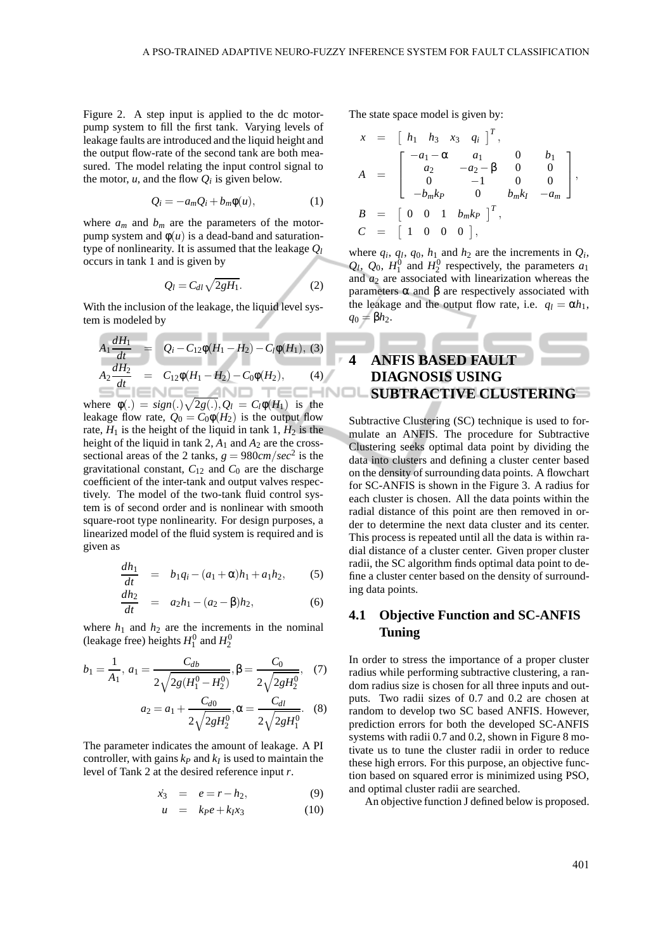Figure 2. A step input is applied to the dc motorpump system to fill the first tank. Varying levels of leakage faults are introduced and the liquid height and the output flow-rate of the second tank are both measured. The model relating the input control signal to the motor,  $u$ , and the flow  $Q_i$  is given below.

$$
Q_i = -a_m Q_i + b_m \phi(u), \qquad (1)
$$

where  $a_m$  and  $b_m$  are the parameters of the motorpump system and  $φ(u)$  is a dead-band and saturationtype of nonlinearity. It is assumed that the leakage *Q<sup>l</sup>* occurs in tank 1 and is given by

$$
Q_l = C_{dl} \sqrt{2gH_1}.
$$
 (2)

With the inclusion of the leakage, the liquid level system is modeled by

$$
A_1 \frac{dH_1}{dt} = Q_i - C_{12}\phi(H_1 - H_2) - C_l\phi(H_1), (3)
$$
  
\n
$$
A_2 \frac{dH_2}{dt} = C_{12}\phi(H_1 - H_2) - C_0\phi(H_2), (4)
$$

where  $\phi(.) = sign(.)\sqrt{2g(.)}, Q_l = C_l\phi(H_1)$  is the leakage flow rate,  $Q_0 = C_0 \phi(H_2)$  is the output flow rate,  $H_1$  is the height of the liquid in tank 1,  $H_2$  is the height of the liquid in tank 2,  $A_1$  and  $A_2$  are the crosssectional areas of the 2 tanks,  $g = 980 \, \text{cm}/\text{sec}^2$  is the gravitational constant,  $C_{12}$  and  $C_0$  are the discharge coefficient of the inter-tank and output valves respectively. The model of the two-tank fluid control system is of second order and is nonlinear with smooth square-root type nonlinearity. For design purposes, a linearized model of the fluid system is required and is given as

$$
\frac{dh_1}{dt} = b_1 q_i - (a_1 + \alpha) h_1 + a_1 h_2, \qquad (5)
$$

$$
\frac{dh_2}{dt} = a_2h_1 - (a_2 - \beta)h_2, \tag{6}
$$

where  $h_1$  and  $h_2$  are the increments in the nominal (leakage free) heights  $H_1^0$  and  $H_2^0$ 

$$
b_1 = \frac{1}{A_1}, a_1 = \frac{C_{db}}{2\sqrt{2g(H_1^0 - H_2^0)}}, \beta = \frac{C_0}{2\sqrt{2gH_2^0}}, (7)
$$

$$
a_2 = a_1 + \frac{C_{d0}}{2\sqrt{2gH_2^0}}, \alpha = \frac{C_{dl}}{2\sqrt{2gH_1^0}}. (8)
$$

The parameter indicates the amount of leakage. A PI controller, with gains  $k_P$  and  $k_I$  is used to maintain the level of Tank 2 at the desired reference input *r*.

$$
\dot{x}_3 = e = r - h_2, \tag{9}
$$

$$
u = k_P e + k_I x_3 \tag{10}
$$

The state space model is given by:

$$
x = \begin{bmatrix} h_1 & h_3 & x_3 & q_1 \end{bmatrix}^T,
$$
  
\n
$$
A = \begin{bmatrix} -a_1 - \alpha & a_1 & 0 & b_1 \\ a_2 & -a_2 - \beta & 0 & 0 \\ 0 & -1 & 0 & 0 \\ -b_m k_p & 0 & b_m k_l & -a_m \end{bmatrix},
$$
  
\n
$$
B = \begin{bmatrix} 0 & 0 & 1 & b_m k_p \end{bmatrix}^T,
$$
  
\n
$$
C = \begin{bmatrix} 1 & 0 & 0 & 0 \end{bmatrix},
$$

where  $q_i$ ,  $q_l$ ,  $q_0$ ,  $h_1$  and  $h_2$  are the increments in  $Q_i$ ,  $Q_l$ ,  $Q_0$ ,  $H_1^0$  and  $H_2^0$  respectively, the parameters  $a_1$ and  $a_2$  are associated with linearization whereas the parameters  $\alpha$  and  $\beta$  are respectively associated with the leakage and the output flow rate, i.e.  $q_l = \alpha h_l$ ,  $q_0 = \beta h_2$ .

## **4 ANFIS BASED FAULT DIAGNOSIS USING SUBTRACTIVE CLUSTERING**

Subtractive Clustering (SC) technique is used to formulate an ANFIS. The procedure for Subtractive Clustering seeks optimal data point by dividing the data into clusters and defining a cluster center based on the density of surrounding data points. A flowchart for SC-ANFIS is shown in the Figure 3. A radius for each cluster is chosen. All the data points within the radial distance of this point are then removed in order to determine the next data cluster and its center. This process is repeated until all the data is within radial distance of a cluster center. Given proper cluster radii, the SC algorithm finds optimal data point to define a cluster center based on the density of surrounding data points.

### **4.1 Objective Function and SC-ANFIS Tuning**

In order to stress the importance of a proper cluster radius while performing subtractive clustering, a random radius size is chosen for all three inputs and outputs. Two radii sizes of 0.7 and 0.2 are chosen at random to develop two SC based ANFIS. However, prediction errors for both the developed SC-ANFIS systems with radii 0.7 and 0.2, shown in Figure 8 motivate us to tune the cluster radii in order to reduce these high errors. For this purpose, an objective function based on squared error is minimized using PSO, and optimal cluster radii are searched.

An objective function J defined below is proposed.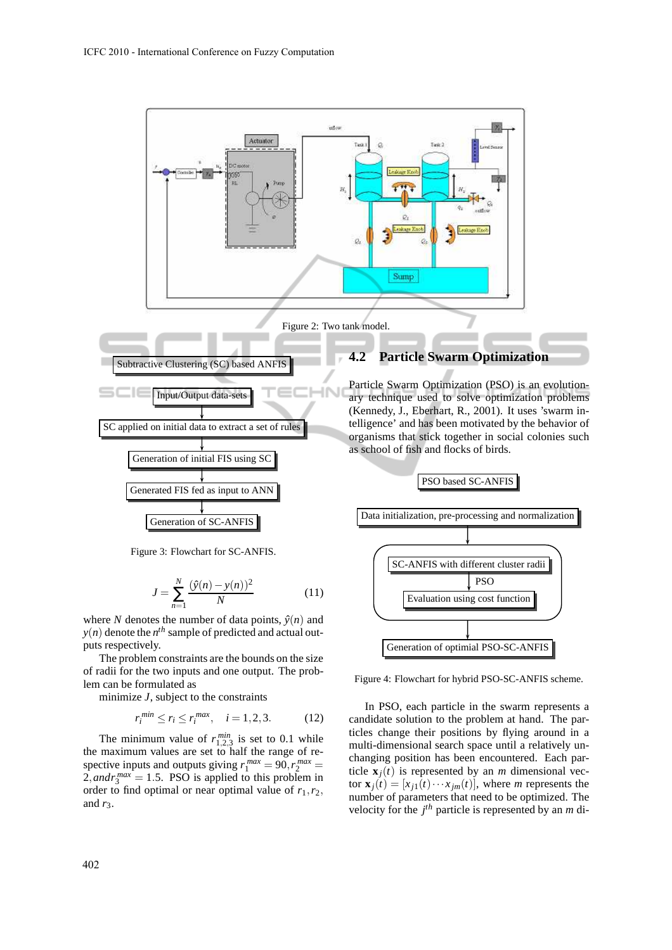

Figure 3: Flowchart for SC-ANFIS.

Generation of SC-ANFIS

$$
J = \sum_{n=1}^{N} \frac{(\hat{y}(n) - y(n))^2}{N}
$$
 (11)

where *N* denotes the number of data points,  $\hat{y}(n)$  and  $y(n)$  denote the  $n^{th}$  sample of predicted and actual outputs respectively.

The problem constraints are the bounds on the size of radii for the two inputs and one output. The problem can be formulated as

minimize *J*, subject to the constraints

$$
r_i^{min} \le r_i \le r_i^{max}, \quad i = 1, 2, 3. \tag{12}
$$

The minimum value of  $r_{1,2,3}^{min}$  is set to 0.1 while the maximum values are set to half the range of respective inputs and outputs giving  $r_1^{max} = 90, r_2^{max} =$  $2$ , and  $r_3^{max} = 1.5$ . PSO is applied to this problem in order to find optimal or near optimal value of  $r_1, r_2$ , and  $r_3$ .

ary technique used to solve optimization problems (Kennedy, J., Eberhart, R., 2001). It uses 'swarm intelligence' and has been motivated by the behavior of organisms that stick together in social colonies such



Figure 4: Flowchart for hybrid PSO-SC-ANFIS scheme.

In PSO, each particle in the swarm represents a candidate solution to the problem at hand. The particles change their positions by flying around in a multi-dimensional search space until a relatively unchanging position has been encountered. Each particle  $\mathbf{x}_i(t)$  is represented by an *m* dimensional vec- $\tan x_j(t) = [x_{j1}(t) \cdots x_{jm}(t)],$  where *m* represents the number of parameters that need to be optimized. The velocity for the *j th* particle is represented by an *m* di-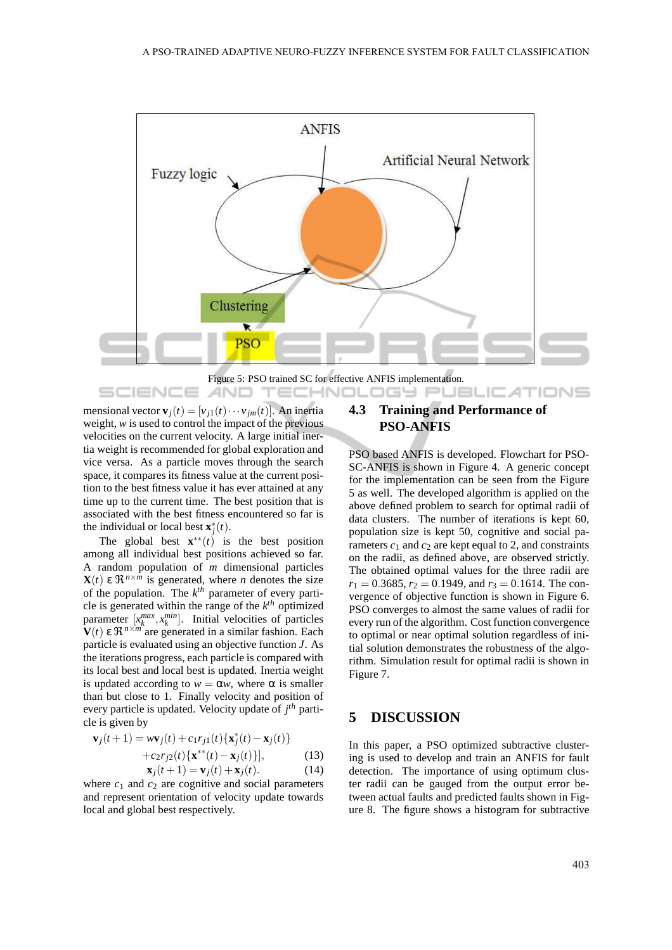

Figure 5: PSO trained SC for effective ANFIS implementation.

mensional vector  $\mathbf{v}_i(t) = [v_{i1}(t) \cdots v_{im}(t)]$ . An inertia weight, *w* is used to control the impact of the previous velocities on the current velocity. A large initial inertia weight is recommended for global exploration and vice versa. As a particle moves through the search space, it compares its fitness value at the current position to the best fitness value it has ever attained at any time up to the current time. The best position that is associated with the best fitness encountered so far is the individual or local best  $\mathbf{x}^*_j(t)$ .

**AND** 

-6

**IEND** 

The global best  $\mathbf{x}^{**}(t)$  is the best position among all individual best positions achieved so far. A random population of *m* dimensional particles **X**(*t*) ε  $\Re^{n \times m}$  is generated, where *n* denotes the size of the population. The *k th* parameter of every particle is generated within the range of the *k th* optimized parameter  $[x_k^{max}, x_k^{min}]$ . Initial velocities of particles  **ε**  $\Re^{n \times m}$  **are generated in a similar fashion. Each** particle is evaluated using an objective function *J*. As the iterations progress, each particle is compared with its local best and local best is updated. Inertia weight is updated according to  $w = \alpha w$ , where  $\alpha$  is smaller than but close to 1. Finally velocity and position of every particle is updated. Velocity update of *j th* particle is given by

$$
\mathbf{v}_j(t+1) = w\mathbf{v}_j(t) + c_1 r_{j1}(t) \{ \mathbf{x}_j^*(t) - \mathbf{x}_j(t) \}
$$
  
+ 
$$
c_2 r_{j2}(t) \{ \mathbf{x}^{**}(t) - \mathbf{x}_j(t) \},
$$
  

$$
\mathbf{x}_j(t+1) = \mathbf{v}_j(t) + \mathbf{x}_j(t).
$$
 (14)

where  $c_1$  and  $c_2$  are cognitive and social parameters and represent orientation of velocity update towards local and global best respectively.

### **4.3 Training and Performance of PSO-ANFIS**

TECHNOLOGY PUBLIC*A*TIONS

PSO based ANFIS is developed. Flowchart for PSO-SC-ANFIS is shown in Figure 4. A generic concept for the implementation can be seen from the Figure 5 as well. The developed algorithm is applied on the above defined problem to search for optimal radii of data clusters. The number of iterations is kept 60, population size is kept 50, cognitive and social parameters  $c_1$  and  $c_2$  are kept equal to 2, and constraints on the radii, as defined above, are observed strictly. The obtained optimal values for the three radii are  $r_1 = 0.3685$ ,  $r_2 = 0.1949$ , and  $r_3 = 0.1614$ . The convergence of objective function is shown in Figure 6. PSO converges to almost the same values of radii for every run of the algorithm. Cost function convergence to optimal or near optimal solution regardless of initial solution demonstrates the robustness of the algorithm. Simulation result for optimal radii is shown in Figure 7.

#### **5 DISCUSSION**

In this paper, a PSO optimized subtractive clustering is used to develop and train an ANFIS for fault detection. The importance of using optimum cluster radii can be gauged from the output error between actual faults and predicted faults shown in Figure 8. The figure shows a histogram for subtractive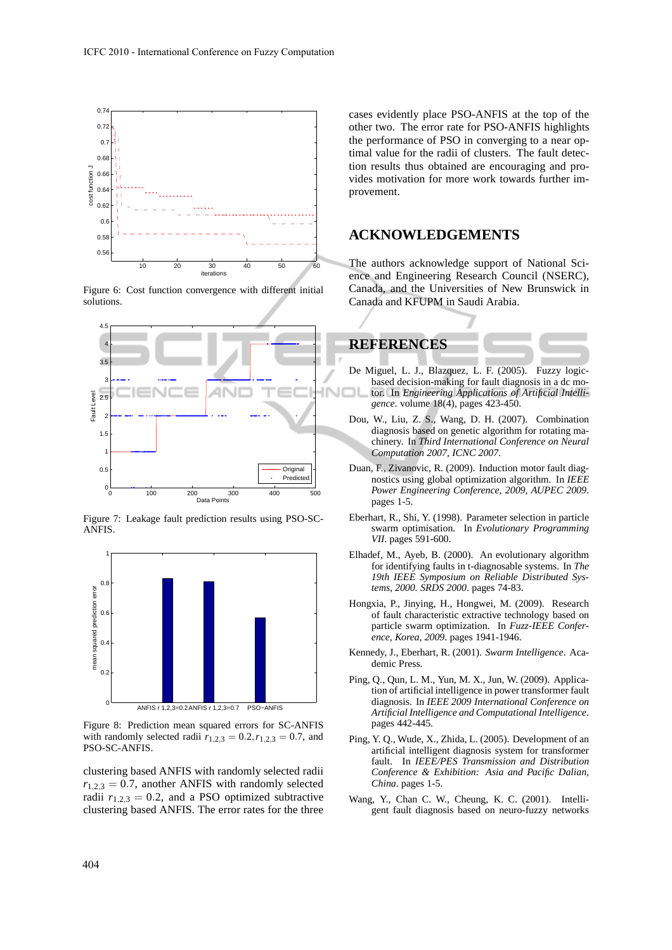

Figure 6: Cost function convergence with different initial solutions.



Figure 7: Leakage fault prediction results using PSO-SC-**ANFIS** 



Figure 8: Prediction mean squared errors for SC-ANFIS with randomly selected radii  $r_{1,2,3} = 0.2, r_{1,2,3} = 0.7$ , and PSO-SC-ANFIS.

clustering based ANFIS with randomly selected radii  $r_{1,2,3} = 0.7$ , another ANFIS with randomly selected radii  $r_{1,2,3} = 0.2$ , and a PSO optimized subtractive clustering based ANFIS. The error rates for the three cases evidently place PSO-ANFIS at the top of the other two. The error rate for PSO-ANFIS highlights the performance of PSO in converging to a near optimal value for the radii of clusters. The fault detection results thus obtained are encouraging and provides motivation for more work towards further improvement.

#### **ACKNOWLEDGEMENTS**

The authors acknowledge support of National Science and Engineering Research Council (NSERC), Canada, and the Universities of New Brunswick in Canada and KFUPM in Saudi Arabia.



- De Miguel, L. J., Blazquez, L. F. (2005). Fuzzy logicbased decision-making for fault diagnosis in a dc motor. In *Engineering Applications of Artificial Intelligence*. volume 18(4), pages 423-450.
- Dou, W., Liu, Z. S., Wang, D. H. (2007). Combination diagnosis based on genetic algorithm for rotating machinery. In *Third International Conference on Neural Computation 2007, ICNC 2007*.
- Duan, F., Zivanovic, R. (2009). Induction motor fault diagnostics using global optimization algorithm. In *IEEE Power Engineering Conference, 2009, AUPEC 2009*. pages 1-5.
- Eberhart, R., Shi, Y. (1998). Parameter selection in particle swarm optimisation. In *Evolutionary Programming VII*. pages 591-600.
- Elhadef, M., Ayeb, B. (2000). An evolutionary algorithm for identifying faults in t-diagnosable systems. In *The 19th IEEE Symposium on Reliable Distributed Systems, 2000. SRDS 2000*. pages 74-83.
- Hongxia, P., Jinying, H., Hongwei, M. (2009). Research of fault characteristic extractive technology based on particle swarm optimization. In *Fuzz-IEEE Conference, Korea, 2009*. pages 1941-1946.
- Kennedy, J., Eberhart, R. (2001). *Swarm Intelligence*. Academic Press.
- Ping, Q., Qun, L. M., Yun, M. X., Jun, W. (2009). Application of artificial intelligence in power transformer fault diagnosis. In *IEEE 2009 International Conference on Artificial Intelligence and Computational Intelligence*. pages 442-445.
- Ping, Y. Q., Wude, X., Zhida, L. (2005). Development of an artificial intelligent diagnosis system for transformer fault. In *IEEE/PES Transmission and Distribution Conference & Exhibition: Asia and Pacific Dalian, China*. pages 1-5.
- Wang, Y., Chan C. W., Cheung, K. C. (2001). Intelligent fault diagnosis based on neuro-fuzzy networks